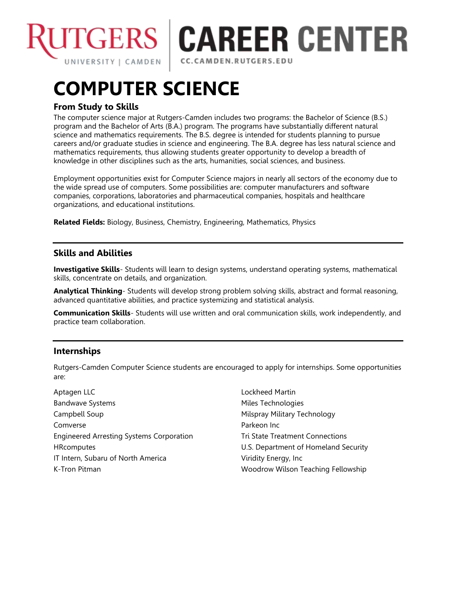

# **TGERS | CAREER CENTER**

CC.CAMDEN.RUTGERS.EDU

# **COMPUTER SCIENCE**

# **From Study to Skills**

The computer science major at Rutgers-Camden includes two programs: the Bachelor of Science (B.S.) program and the Bachelor of Arts (B.A.) program. The programs have substantially different natural science and mathematics requirements. The B.S. degree is intended for students planning to pursue careers and/or graduate studies in science and engineering. The B.A. degree has less natural science and mathematics requirements, thus allowing students greater opportunity to develop a breadth of knowledge in other disciplines such as the arts, humanities, social sciences, and business.

Employment opportunities exist for Computer Science majors in nearly all sectors of the economy due to the wide spread use of computers. Some possibilities are: computer manufacturers and software companies, corporations, laboratories and pharmaceutical companies, hospitals and healthcare organizations, and educational institutions.

**Related Fields:** Biology, Business, Chemistry, Engineering, Mathematics, Physics

## **Skills and Abilities**

**Investigative Skills**- Students will learn to design systems, understand operating systems, mathematical skills, concentrate on details, and organization.

**Analytical Thinking**- Students will develop strong problem solving skills, abstract and formal reasoning, advanced quantitative abilities, and practice systemizing and statistical analysis.

**Communication Skills**- Students will use written and oral communication skills, work independently, and practice team collaboration.

# **Internships**

Rutgers-Camden Computer Science students are encouraged to apply for internships. Some opportunities are:

Aptagen LLC Bandwave Systems Campbell Soup Comverse Engineered Arresting Systems Corporation **HRcomputes** IT Intern, Subaru of North America K-Tron Pitman

Lockheed Martin Miles Technologies Milspray Military Technology Parkeon Inc Tri State Treatment Connections U.S. Department of Homeland Security Viridity Energy, Inc Woodrow Wilson Teaching Fellowship